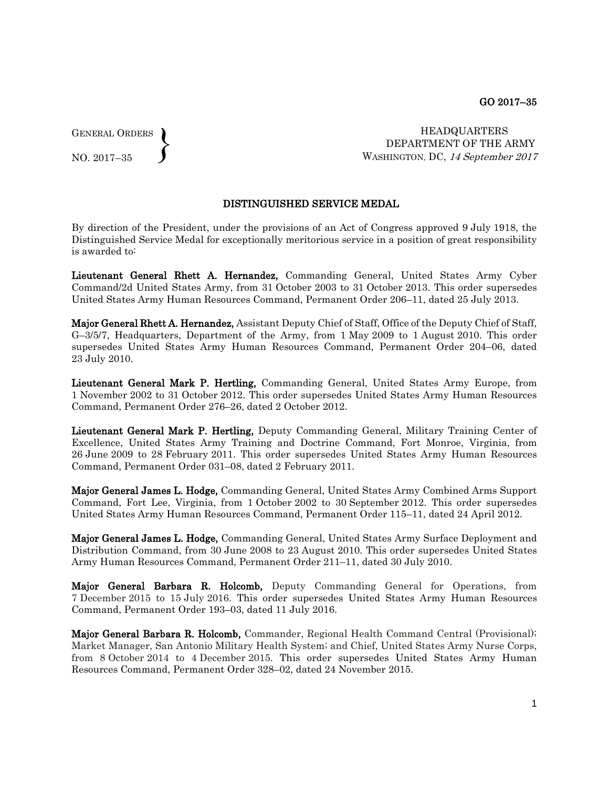GENERAL ORDERS  $\left\{ \right\}$ 

NO. 2017–35

HEADQUARTERS DEPARTMENT OF THE ARMY WASHINGTON, DC, 14 September 2017

## DISTINGUISHED SERVICE MEDAL

By direction of the President, under the provisions of an Act of Congress approved 9 July 1918, the Distinguished Service Medal for exceptionally meritorious service in a position of great responsibility is awarded to:

Lieutenant General Rhett A. Hernandez, Commanding General, United States Army Cyber Command/2d United States Army, from 31 October 2003 to 31 October 2013. This order supersedes United States Army Human Resources Command, Permanent Order 206–11, dated 25 July 2013.

Major General Rhett A. Hernandez, Assistant Deputy Chief of Staff, Office of the Deputy Chief of Staff, G–3/5/7, Headquarters, Department of the Army, from 1 May 2009 to 1 August 2010. This order supersedes United States Army Human Resources Command, Permanent Order 204–06, dated 23 July 2010.

Lieutenant General Mark P. Hertling, Commanding General, United States Army Europe, from 1 November 2002 to 31 October 2012. This order supersedes United States Army Human Resources Command, Permanent Order 276–26, dated 2 October 2012.

Lieutenant General Mark P. Hertling, Deputy Commanding General, Military Training Center of Excellence, United States Army Training and Doctrine Command, Fort Monroe, Virginia, from 26 June 2009 to 28 February 2011. This order supersedes United States Army Human Resources Command, Permanent Order 031–08, dated 2 February 2011.

Major General James L. Hodge, Commanding General, United States Army Combined Arms Support Command, Fort Lee, Virginia, from 1 October 2002 to 30 September 2012. This order supersedes United States Army Human Resources Command, Permanent Order 115–11, dated 24 April 2012.

Major General James L. Hodge, Commanding General, United States Army Surface Deployment and Distribution Command, from 30 June 2008 to 23 August 2010. This order supersedes United States Army Human Resources Command, Permanent Order 211–11, dated 30 July 2010.

Major General Barbara R. Holcomb, Deputy Commanding General for Operations, from 7 December 2015 to 15 July 2016. This order supersedes United States Army Human Resources Command, Permanent Order 193–03, dated 11 July 2016.

Major General Barbara R. Holcomb, Commander, Regional Health Command Central (Provisional); Market Manager, San Antonio Military Health System; and Chief, United States Army Nurse Corps, from 8 October 2014 to 4 December 2015. This order supersedes United States Army Human Resources Command, Permanent Order 328–02, dated 24 November 2015.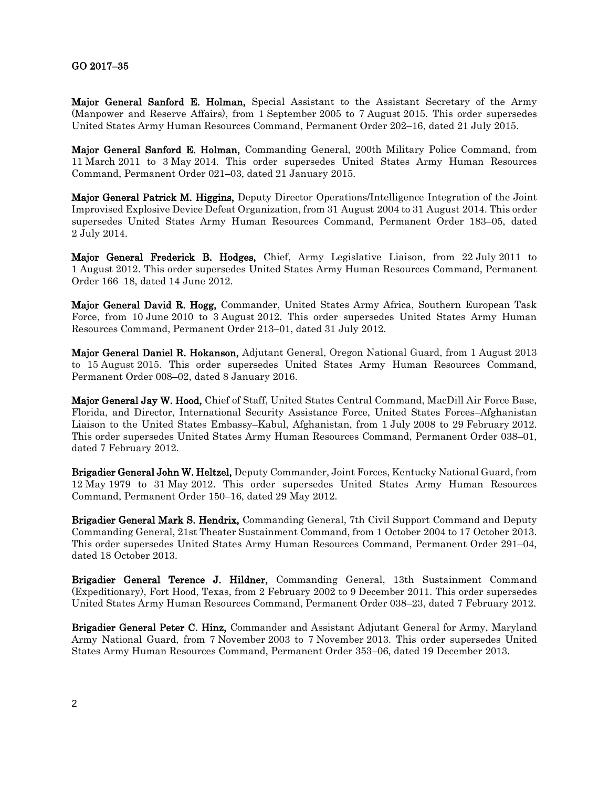## GO 2017–35

Major General Sanford E. Holman, Special Assistant to the Assistant Secretary of the Army (Manpower and Reserve Affairs), from 1 September 2005 to 7 August 2015. This order supersedes United States Army Human Resources Command, Permanent Order 202–16, dated 21 July 2015.

Major General Sanford E. Holman, Commanding General, 200th Military Police Command, from 11 March 2011 to 3 May 2014. This order supersedes United States Army Human Resources Command, Permanent Order 021–03, dated 21 January 2015.

Major General Patrick M. Higgins, Deputy Director Operations/Intelligence Integration of the Joint Improvised Explosive Device Defeat Organization, from 31 August 2004 to 31 August 2014. This order supersedes United States Army Human Resources Command, Permanent Order 183–05, dated 2 July 2014.

Major General Frederick B. Hodges, Chief, Army Legislative Liaison, from 22 July 2011 to 1 August 2012. This order supersedes United States Army Human Resources Command, Permanent Order 166–18, dated 14 June 2012.

Major General David R. Hogg, Commander, United States Army Africa, Southern European Task Force, from 10 June 2010 to 3 August 2012. This order supersedes United States Army Human Resources Command, Permanent Order 213–01, dated 31 July 2012.

Major General Daniel R. Hokanson, Adjutant General, Oregon National Guard, from 1 August 2013 to 15 August 2015. This order supersedes United States Army Human Resources Command, Permanent Order 008–02, dated 8 January 2016.

Major General Jay W. Hood, Chief of Staff, United States Central Command, MacDill Air Force Base, Florida, and Director, International Security Assistance Force, United States Forces–Afghanistan Liaison to the United States Embassy–Kabul, Afghanistan, from 1 July 2008 to 29 February 2012. This order supersedes United States Army Human Resources Command, Permanent Order 038–01, dated 7 February 2012.

Brigadier General John W. Heltzel, Deputy Commander, Joint Forces, Kentucky National Guard, from 12 May 1979 to 31 May 2012. This order supersedes United States Army Human Resources Command, Permanent Order 150–16, dated 29 May 2012.

Brigadier General Mark S. Hendrix, Commanding General, 7th Civil Support Command and Deputy Commanding General, 21st Theater Sustainment Command, from 1 October 2004 to 17 October 2013. This order supersedes United States Army Human Resources Command, Permanent Order 291–04, dated 18 October 2013.

Brigadier General Terence J. Hildner, Commanding General, 13th Sustainment Command (Expeditionary), Fort Hood, Texas, from 2 February 2002 to 9 December 2011. This order supersedes United States Army Human Resources Command, Permanent Order 038–23, dated 7 February 2012.

Brigadier General Peter C. Hinz, Commander and Assistant Adjutant General for Army, Maryland Army National Guard, from 7 November 2003 to 7 November 2013. This order supersedes United States Army Human Resources Command, Permanent Order 353–06, dated 19 December 2013.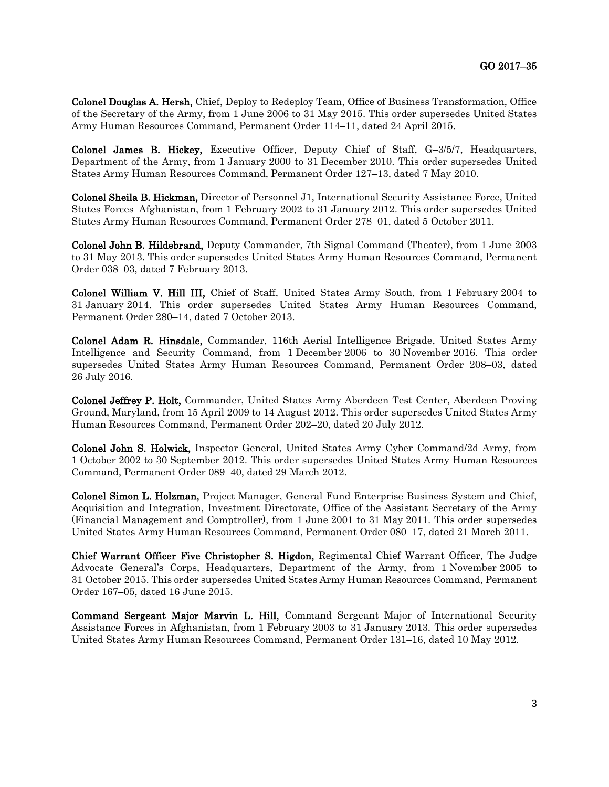Colonel Douglas A. Hersh, Chief, Deploy to Redeploy Team, Office of Business Transformation, Office of the Secretary of the Army, from 1 June 2006 to 31 May 2015. This order supersedes United States Army Human Resources Command, Permanent Order 114–11, dated 24 April 2015.

Colonel James B. Hickey, Executive Officer, Deputy Chief of Staff, G–3/5/7, Headquarters, Department of the Army, from 1 January 2000 to 31 December 2010. This order supersedes United States Army Human Resources Command, Permanent Order 127–13, dated 7 May 2010.

Colonel Sheila B. Hickman, Director of Personnel J1, International Security Assistance Force, United States Forces–Afghanistan, from 1 February 2002 to 31 January 2012. This order supersedes United States Army Human Resources Command, Permanent Order 278–01, dated 5 October 2011.

Colonel John B. Hildebrand, Deputy Commander, 7th Signal Command (Theater), from 1 June 2003 to 31 May 2013. This order supersedes United States Army Human Resources Command, Permanent Order 038–03, dated 7 February 2013.

Colonel William V. Hill III, Chief of Staff, United States Army South, from 1 February 2004 to 31 January 2014. This order supersedes United States Army Human Resources Command, Permanent Order 280–14, dated 7 October 2013.

Colonel Adam R. Hinsdale, Commander, 116th Aerial Intelligence Brigade, United States Army Intelligence and Security Command, from 1 December 2006 to 30 November 2016. This order supersedes United States Army Human Resources Command, Permanent Order 208–03, dated 26 July 2016.

Colonel Jeffrey P. Holt, Commander, United States Army Aberdeen Test Center, Aberdeen Proving Ground, Maryland, from 15 April 2009 to 14 August 2012. This order supersedes United States Army Human Resources Command, Permanent Order 202–20, dated 20 July 2012.

Colonel John S. Holwick, Inspector General, United States Army Cyber Command/2d Army, from 1 October 2002 to 30 September 2012. This order supersedes United States Army Human Resources Command, Permanent Order 089–40, dated 29 March 2012.

Colonel Simon L. Holzman, Project Manager, General Fund Enterprise Business System and Chief, Acquisition and Integration, Investment Directorate, Office of the Assistant Secretary of the Army (Financial Management and Comptroller), from 1 June 2001 to 31 May 2011. This order supersedes United States Army Human Resources Command, Permanent Order 080–17, dated 21 March 2011.

Chief Warrant Officer Five Christopher S. Higdon, Regimental Chief Warrant Officer, The Judge Advocate General's Corps, Headquarters, Department of the Army, from 1 November 2005 to 31 October 2015. This order supersedes United States Army Human Resources Command, Permanent Order 167–05, dated 16 June 2015.

Command Sergeant Major Marvin L. Hill, Command Sergeant Major of International Security Assistance Forces in Afghanistan, from 1 February 2003 to 31 January 2013. This order supersedes United States Army Human Resources Command, Permanent Order 131–16, dated 10 May 2012.